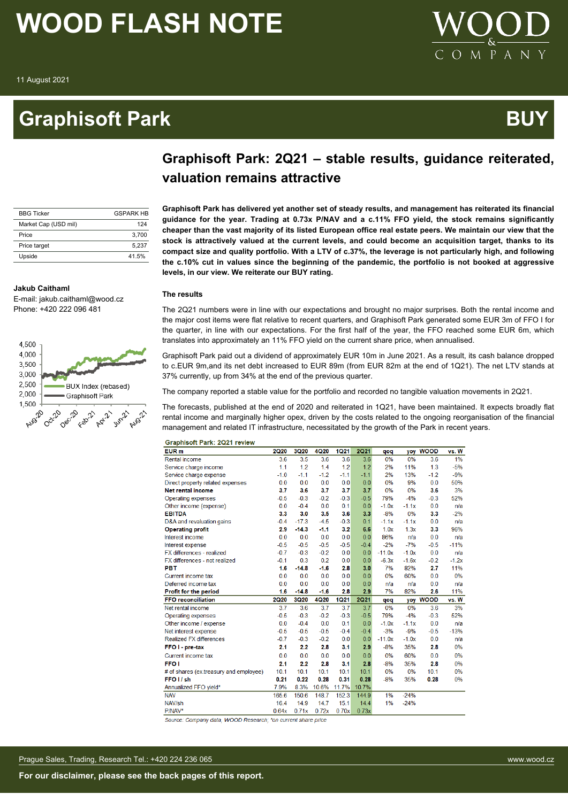**Jakub Caithaml**

### **Graphisoft Park Australian Control Control Control Control Control Control Control Control Control Control Co**



### **Graphisoft Park: 2Q21 – stable results, guidance reiterated, valuation remains attractive**

**Graphisoft Park has delivered yet another set of steady results, and management has reiterated its financial**

| <b>BBG Ticker</b>    | <b>GSPARK HR</b> |
|----------------------|------------------|
| Market Cap (USD mil) | 124              |
| Price                | 3.700            |
| Price target         | 5.237            |
| Upside               | 41.5%            |

**guidance for the year. Trading at 0.73x P/NAV and a c.11% FFO yield, the stock remains significantly cheaper than the vast majority of its listed European office real estate peers. We maintain our view that the stock is attractively valued at the current levels, and could become an acquisition target, thanks to its compact size and quality portfolio. With a LTV of c.37%, the leverage is not particularly high, and following the c.10% cut in values since the beginning of the pandemic, the portfolio is not booked at aggressive levels, in our view. We reiterate our BUY rating.**

#### **The results**

The 2Q21 numbers were in line with our expectations and brought no major surprises. Both the rental income and the major cost items were flat relative to recent quarters, and Graphisoft Park generated some EUR 3m of FFO I for the quarter, in line with our expectations. For the first half of the year, the FFO reached some EUR 6m, which translates into approximately an 11% FFO yield on the current share price, when annualised.

Graphisoft Park paid out a dividend of approximately EUR 10m in June 2021. As a result, its cash balance dropped to c.EUR 9m,and its net debt increased to EUR 89m (from EUR 82m at the end of 1Q21). The net LTV stands at 37% currently, up from 34% at the end of the previous quarter.

The company reported a stable value for the portfolio and recorded no tangible valuation movements in 2Q21.

The forecasts, published at the end of 2020 and reiterated in 1Q21, have been maintained. It expects broadly flat rental income and marginally higher opex, driven by the costs related to the ongoing reorganisation of the financial management and related IT infrastructure, necessitated by the growth of the Park in recent years.

|  |  | <b>Graphisoft Park: 2Q21 review</b> |
|--|--|-------------------------------------|

| EUR <sub>m</sub>                       | <b>2Q20</b> | 3Q20        | <b>4Q20</b> | <b>1Q21</b> | <b>2Q21</b> | qoq      | yoy     | <b>WOOD</b> | vs. W   |
|----------------------------------------|-------------|-------------|-------------|-------------|-------------|----------|---------|-------------|---------|
| <b>Rental income</b>                   | 3.6         | 3.5         | 3.6         | 3.6         | 3.6         | 0%       | 0%      | 3.6         | 1%      |
|                                        | 1.1         | 1.2         | 1.4         | 1.2         | 1.2         | 2%       | 11%     | 1.3         | $-5%$   |
| Service charge income                  |             | $-1.1$      | $-1.2$      | $-1.1$      | $-1.1$      | 2%       | 13%     | $-1.2$      | $-9%$   |
| Service charge expense                 | $-1.0$      |             |             |             |             | 0%       |         |             |         |
| Direct property related expenses       | 0.0         | 0.0         | 0.0         | 0.0         | 0.0         |          | 9%      | 0.0         | 50%     |
| <b>Net rental income</b>               | 3.7         | 3.6         | 3.7         | 3.7         | 3.7         | 0%       | 0%      | 3.6         | 3%      |
| Operating expenses                     | $-0.5$      | $-0.3$      | $-0.2$      | $-0.3$      | $-0.5$      | 79%      | $-4%$   | $-0.3$      | 52%     |
| Other income (expense)                 | 0.0         | $-0.4$      | 0.0         | 0.1         | 0.0         | $-1.0x$  | $-1.1x$ | 0.0         | n/a     |
| <b>EBITDA</b>                          | 3.3         | 3.0         | 3.5         | 3.6         | 3.3         | $-8%$    | 0%      | 3.3         | $-2%$   |
| D&A and revaluation gains              | $-0.4$      | $-17.3$     | $-4.5$      | $-0.3$      | 0.1         | $-1.1x$  | $-1.1x$ | 0.0         | n/a     |
| <b>Operating profit</b>                | 2.9         | $-14.3$     | $-1.1$      | 3.2         | 6.6         | 1.0x     | 1.3x    | 3.3         | 96%     |
| Interest income                        | 0.0         | 0.0         | 0.0         | 0.0         | 0.0         | 86%      | n/a     | 0.0         | n/a     |
| Interest expense                       | $-0.5$      | $-0.5$      | $-0.5$      | $-0.5$      | $-0.4$      | $-2%$    | $-7%$   | $-0.5$      | $-11%$  |
| FX differences - realized              | $-0.7$      | $-0.3$      | $-0.2$      | 0.0         | 0.0         | $-11.0x$ | $-1.0x$ | 0.0         | n/a     |
| FX differences - not realized          | $-0.1$      | 0.3         | 0.2         | 0.0         | 0.0         | $-6.3x$  | $-1.6x$ | $-0.2$      | $-1.2x$ |
| <b>PBT</b>                             | 1.6         | $-14.8$     | $-1.6$      | 2.8         | 3.0         | 7%       | 82%     | 2.7         | 11%     |
| Current income tax                     | 0.0         | 0.0         | 0.0         | 0.0         | 0.0         | 0%       | 60%     | 0.0         | 0%      |
| Deferred income tax                    | 0.0         | 0.0         | 0.0         | 0.0         | 0.0         | n/a      | n/a     | 0.0         | n/a     |
| <b>Profit for the period</b>           | 1.6         | $-14.8$     | $-1.6$      | 2.8         | 2.9         | 7%       | 82%     | 2.6         | 11%     |
| <b>FFO</b> reconciliation              | <b>2Q20</b> | <b>3Q20</b> | 4Q20        | <b>1Q21</b> | <b>2Q21</b> | qoq      | yoy     | <b>WOOD</b> | vs. W   |
| Net rental income                      | 3.7         | 3.6         | 3.7         | 3.7         | 3.7         | 0%       | 0%      | 3.6         | 3%      |
| Operating expenses                     | $-0.5$      | $-0.3$      | $-0.2$      | $-0.3$      | $-0.5$      | 79%      | $-4%$   | $-0.3$      | 52%     |
| Other income / expense                 | 0.0         | $-0.4$      | 0.0         | 0.1         | 0.0         | $-1.0x$  | $-1.1x$ | 0.0         | n/a     |
| Net interest expense                   | $-0.5$      | $-0.5$      | $-0.5$      | $-0.4$      | $-0.4$      | $-3%$    | $-9%$   | $-0.5$      | $-13%$  |
| <b>Realized FX differences</b>         | $-0.7$      | $-0.3$      | $-0.2$      | 0.0         | 0.0         | $-11.0x$ | $-1.0x$ | 0.0         | n/a     |
| FFO I - pre-tax                        | 2.1         | 2.2         | 2.8         | 3.1         | 2.9         | $-8%$    | 35%     | 2.8         | 0%      |
| Current income tax                     | 0.0         | 0.0         | 0.0         | 0.0         | 0.0         | 0%       | 60%     | 0.0         | 0%      |
| <b>FFO1</b>                            | 2.1         | 2.2         | 2.8         | 3.1         | 2.8         | $-8%$    | 35%     | 2.8         | 0%      |
| # of shares (ex.treasury and employee) | 10.1        | 10.1        | 10.1        | 10.1        | 10.1        | 0%       | 0%      | 10.1        | 0%      |
| FFO <sub>I</sub> sh                    | 0.21        | 0.22        | 0.28        | 0.31        | 0.28        | $-8%$    | 35%     | 0.28        | 0%      |
| Annualized FFO yield*                  | 7.9%        | 8.3%        | 10.6%       | 11.7%       | 10.7%       |          |         |             |         |
| <b>NAV</b>                             | 165.6       | 150.6       | 148.7       | 152.3       | 144.9       | 1%       | $-24%$  |             |         |
| NAV/sh                                 | 16.4        | 14.9        | 14.7        | 15.1        | 14.4        | 1%       | $-24%$  |             |         |
| P/NAV*                                 | 0.64x       | 0.71x       | 0.72x       | 0.70x       | 0.73x       |          |         |             |         |

Source: Company data, WOOD Research; \*on current share price



E-mail: jakub.caithaml@wood.cz Phone: +420 222 096 481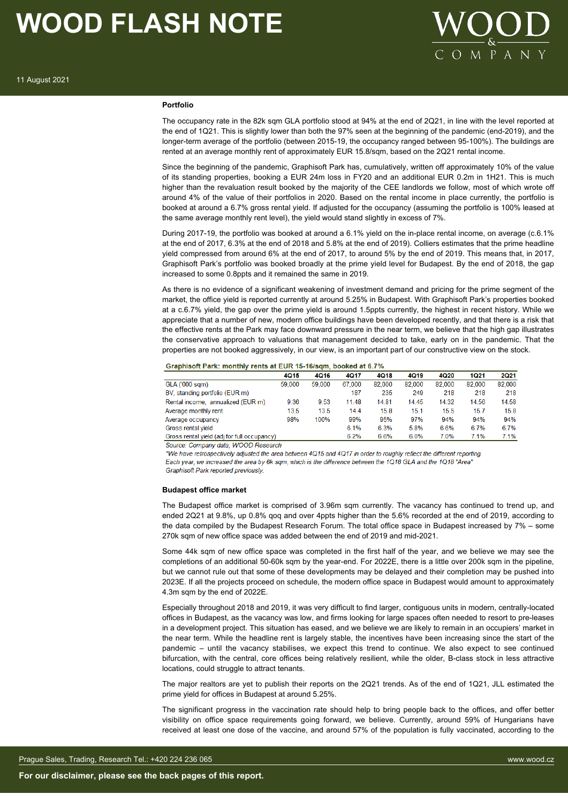

#### **Portfolio**

The occupancy rate in the 82k sqm GLA portfolio stood at 94% at the end of 2Q21, in line with the level reported at the end of 1Q21. This is slightly lower than both the 97% seen at the beginning of the pandemic (end-2019), and the longer-term average of the portfolio (between 2015-19, the occupancy ranged between 95-100%). The buildings are rented at an average monthly rent of approximately EUR 15.8/sqm, based on the 2Q21 rental income.

Since the beginning of the pandemic, Graphisoft Park has, cumulatively, written off approximately 10% of the value of its standing properties, booking a EUR 24m loss in FY20 and an additional EUR 0.2m in 1H21. This is much higher than the revaluation result booked by the majority of the CEE landlords we follow, most of which wrote off around 4% of the value of their portfolios in 2020. Based on the rental income in place currently, the portfolio is booked at around a 6.7% gross rental yield. If adjusted for the occupancy (assuming the portfolio is 100% leased at the same average monthly rent level), the yield would stand slightly in excess of 7%.

During 2017-19, the portfolio was booked at around a 6.1% yield on the in-place rental income, on average (c.6.1% at the end of 2017, 6.3% at the end of 2018 and 5.8% at the end of 2019). Colliers estimates that the prime headline yield compressed from around 6% at the end of 2017, to around 5% by the end of 2019. This means that, in 2017, Graphisoft Park's portfolio was booked broadly at the prime yield level for Budapest. By the end of 2018, the gap increased to some 0.8ppts and it remained the same in 2019.

As there is no evidence of a significant weakening of investment demand and pricing for the prime segment of the market, the office yield is reported currently at around 5.25% in Budapest. With Graphisoft Park's properties booked at a c.6.7% yield, the gap over the prime yield is around 1.5ppts currently, the highest in recent history. While we appreciate that a number of new, modern office buildings have been developed recently, and that there is a risk that the effective rents at the Park may face downward pressure in the near term, we believe that the high gap illustrates the conservative approach to valuations that management decided to take, early on in the pandemic. That the properties are not booked aggressively, in our view, is an important part of our constructive view on the stock.

#### Graphisoft Park: monthly rents at EUR 15-16/sqm, booked at 6.7%

|                                             | 4Q15   | 4Q16   | 4Q17   | 4Q18   | 4Q19   | 4Q20   | 1Q21   | 2Q21   |
|---------------------------------------------|--------|--------|--------|--------|--------|--------|--------|--------|
| GLA ('000 sam)                              | 59,000 | 59.000 | 67,000 | 82,000 | 82,000 | 82.000 | 82,000 | 82,000 |
| BV, standing portfolio (EUR m)              |        |        | 187    | 235    | 249    | 218    | 218    | 218    |
| Rental income, annualized (EUR m)           | 9.36   | 9.53   | 11.48  | 14.81  | 14.45  | 14.32  | 14.56  | 14.58  |
| Average monthly rent                        | 13.5   | 13.5   | 14.4   | 15.8   | 15.1   | 15.5   | 15.7   | 15.8   |
| Average occupancy                           | 98%    | 100%   | 99%    | 95%    | 97%    | 94%    | 94%    | 94%    |
| Gross rental vield                          |        |        | 6.1%   | 6.3%   | 5.8%   | 6.6%   | 6.7%   | 6.7%   |
| Gross rental yield (adj for full occupancy) |        |        | 6.2%   | 6.6%   | 6.0%   | 7.0%   | 7.1%   | 7.1%   |

Source: Company data: WOOD Research

\*We have retrospectively adjusted the area between 4Q15 and 4Q17 in order to roughly reflect the different reporting. Each year, we increased the area by 6k sqm, which is the difference between the 1Q18 GLA and the 1Q18 "Area"

**Graphisoft Park reported previously** 

#### **Budapest office market**

The Budapest office market is comprised of 3.96m sqm currently. The vacancy has continued to trend up, and ended 2Q21 at 9.8%, up 0.8% qoq and over 4ppts higher than the 5.6% recorded at the end of 2019, according to the data compiled by the Budapest Research Forum. The total office space in Budapest increased by 7% – some 270k sqm of new office space was added between the end of 2019 and mid-2021.

Some 44k sam of new office space was completed in the first half of the year, and we believe we may see the completions of an additional 50-60k sqm by the year-end. For 2022E, there is a little over 200k sqm in the pipeline, but we cannot rule out that some of these developments may be delayed and their completion may be pushed into 2023E. If all the projects proceed on schedule, the modern office space in Budapest would amount to approximately 4.3m sqm by the end of 2022E.

Especially throughout 2018 and 2019, it was very difficult to find larger, contiguous units in modern, centrally-located offices in Budapest, as the vacancy was low, and firms looking for large spaces often needed to resort to pre-leases in a development project. This situation has eased, and we believe we are likely to remain in an occupiers' market in the near term. While the headline rent is largely stable, the incentives have been increasing since the start of the pandemic – until the vacancy stabilises, we expect this trend to continue. We also expect to see continued bifurcation, with the central, core offices being relatively resilient, while the older, B-class stock in less attractive locations, could struggle to attract tenants.

The major realtors are yet to publish their reports on the 2Q21 trends. As of the end of 1Q21, JLL estimated the prime yield for offices in Budapest at around 5.25%.

The significant progress in the vaccination rate should help to bring people back to the offices, and offer better visibility on office space requirements going forward, we believe. Currently, around 59% of Hungarians have received at least one dose of the vaccine, and around 57% of the population is fully vaccinated, according to the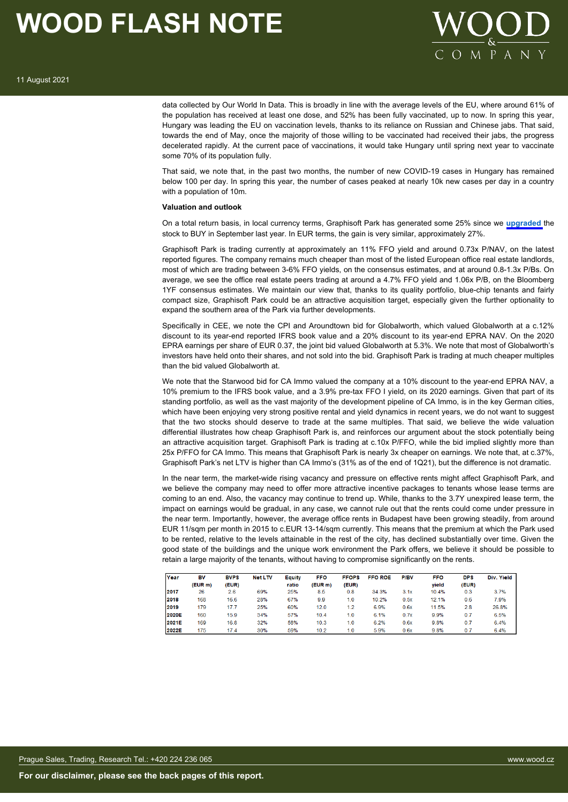

data collected by Our World In Data. This is broadly in line with the average levels of the EU, where around 61% of the population has received at least one dose, and 52% has been fully vaccinated, up to now. In spring this year, Hungary was leading the EU on vaccination levels, thanks to its reliance on Russian and Chinese jabs. That said, towards the end of May, once the majority of those willing to be vaccinated had received their jabs, the progress decelerated rapidly. At the current pace of vaccinations, it would take Hungary until spring next year to vaccinate some 70% of its population fully.

That said, we note that, in the past two months, the number of new COVID-19 cases in Hungary has remained below 100 per day. In spring this year, the number of cases peaked at nearly 10k new cases per day in a country with a population of 10m.

#### **Valuation and outlook**

On a total return basis, in local currency terms, Graphisoft Park has generated some 25% since we **[upgraded](https://research.wood.cz/go/df816b6e-4861-448e-aee8-d57f6e70eb4d/CEE_Real%20Estate_Coverage%20Universe_Update_10Sept2020.pdf)** the stock to BUY in September last year. In EUR terms, the gain is very similar, approximately 27%.

Graphisoft Park is trading currently at approximately an 11% FFO yield and around 0.73x P/NAV, on the latest reported figures. The company remains much cheaper than most of the listed European office real estate landlords, most of which are trading between 3-6% FFO yields, on the consensus estimates, and at around 0.8-1.3x P/Bs. On average, we see the office real estate peers trading at around a 4.7% FFO yield and 1.06x P/B, on the Bloomberg 1YF consensus estimates. We maintain our view that, thanks to its quality portfolio, blue-chip tenants and fairly compact size, Graphisoft Park could be an attractive acquisition target, especially given the further optionality to expand the southern area of the Park via further developments.

Specifically in CEE, we note the CPI and Aroundtown bid for Globalworth, which valued Globalworth at a c.12% discount to its year-end reported IFRS book value and a 20% discount to its year-end EPRA NAV. On the 2020 EPRA earnings per share of EUR 0.37, the joint bid valued Globalworth at 5.3%. We note that most of Globalworth's investors have held onto their shares, and not sold into the bid. Graphisoft Park is trading at much cheaper multiples than the bid valued Globalworth at.

We note that the Starwood bid for CA Immo valued the company at a 10% discount to the year-end EPRA NAV, a 10% premium to the IFRS book value, and a 3.9% pre-tax FFO I yield, on its 2020 earnings. Given that part of its standing portfolio, as well as the vast majority of the development pipeline of CA Immo, is in the key German cities, which have been enjoying very strong positive rental and yield dynamics in recent years, we do not want to suggest that the two stocks should deserve to trade at the same multiples. That said, we believe the wide valuation differential illustrates how cheap Graphisoft Park is, and reinforces our argument about the stock potentially being an attractive acquisition target. Graphisoft Park is trading at c.10x P/FFO, while the bid implied slightly more than 25x P/FFO for CA Immo. This means that Graphisoft Park is nearly 3x cheaper on earnings. We note that, at c.37%, Graphisoft Park's net LTV is higher than CA Immo's (31% as of the end of 1Q21), but the difference is not dramatic.

In the near term, the market-wide rising vacancy and pressure on effective rents might affect Graphisoft Park, and we believe the company may need to offer more attractive incentive packages to tenants whose lease terms are coming to an end. Also, the vacancy may continue to trend up. While, thanks to the 3.7Y unexpired lease term, the impact on earnings would be gradual, in any case, we cannot rule out that the rents could come under pressure in the near term. Importantly, however, the average office rents in Budapest have been growing steadily, from around EUR 11/sqm per month in 2015 to c.EUR 13-14/sqm currently. This means that the premium at which the Park used to be rented, relative to the levels attainable in the rest of the city, has declined substantially over time. Given the good state of the buildings and the unique work environment the Park offers, we believe it should be possible to retain a large majority of the tenants, without having to compromise significantly on the rents.

| Year         | BV      | <b>BVPS</b> | <b>Net LTV</b> | Eauity | <b>FFO</b> | <b>FFOPS</b> | <b>FFO ROE</b> | P/BV | <b>FFO</b> | <b>DPS</b> | Div. Yield |
|--------------|---------|-------------|----------------|--------|------------|--------------|----------------|------|------------|------------|------------|
|              | (EUR m) | (EUR)       |                | ratio  | (EUR m)    | (EUR)        |                |      | vield      | (EUR)      |            |
| 2017         | 26      | 2.6         | 69%            | 25%    | 8.5        | 0.8          | 34.3%          | 3.1x | 10.4%      | 0.3        | 3.7%       |
| 2018         | 168     | 16.6        | 28%            | 67%    | 9.9        | 1.0          | 10.2%          | 0.5x | 12.1%      | 0.6        | 7.9%       |
| 2019         | 179     | 17.7        | 25%            | 60%    | 12.0       | 1.2          | 6.9%           | 0.6x | 11.5%      | 2.8        | 26.8%      |
| <b>2020E</b> | 160     | 15.9        | 34%            | 57%    | 10.4       | 1.0          | 6.1%           | 0.7x | 9.9%       | 07         | 6.5%       |
| 2021E        | 169     | 16.8        | 32%            | 58%    | 10.3       | 1.0          | 6.2%           | 0.6x | 9.8%       | 0.7        | 6.4%       |
| 2022E        | 175     | 17.4        | 30%            | 59%    | 10.2       | 1.0          | 5.9%           | 0.6x | 9.8%       | 0.7        | 6.4%       |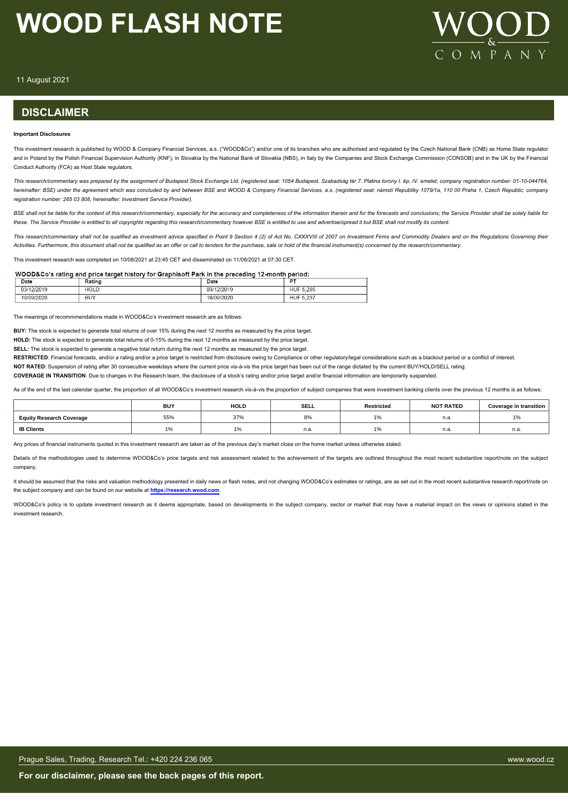

11 August 2021

#### **DISCLAIMER**

#### **Important Disclosures**

This investment research is published by WOOD & Company Financial Services, a.s. ("WOOD&Co") and/or one of its branches who are authorised and regulated by the Czech National Bank (CNB) as Home State regulator and in Poland by the Polish Financial Supervision Authority (KNF), in Slovakia by the National Bank of Slovakia (NBS), in Italy by the Companies and Stock Exchange Commission (CONSOB) and in the UK by the Financial Conduct Authority (FCA) as Host State regulators.

*This research/commentary was prepared by the assignment of Budapest Stock Exchange Ltd. (registered seat: 1054 Budapest, Szabadság tér 7. Platina torony I. ép. IV. emelet; company registration number: 01-10-044764, hereinafter: BSE) under the agreement which was concluded by and between BSE and WOOD & Company Financial Services, a.s. (registered seat: námstí Republiky 1079/1a, 110 00 Praha 1, Czech Republic; company registration number: 265 03 808, hereinafter: Investment Service Provider).*

BSE shall not be liable for the content of this research/commentary, especially for the accuracy and completeness of the information therein and for the forecasts and conclusions; the Service Provider shall be solely liabl *these. The Service Provider is entitled to all copyrights regarding this research/commentary however BSE is entitled to use and advertise/spread it but BSE shall not modify its content.*

This research/commentary shall not be qualified as investment advice specified in Point 9 Section 4 (2) of Act No. CXXXVIII of 2007 on Investment Firms and Commodity Dealers and on the Requlations Governing their *Activities. Furthermore, this document shall not be qualified as an offer or call to tenders for the purchase, sale or hold of the financial instrument(s) concerned by the research/commentary.*

This investment research was completed on 10/08/2021 at 23:45 CET and disseminated on 11/08/2021 at 07:30 CET.

#### WOOD&Co's rating and price target history for Graphisoft Park in the preceding 12-month period:

| <b>Date</b>   | Rating      | Date          | $ -$                                  |
|---------------|-------------|---------------|---------------------------------------|
| 03/<br>2/2019 | <b>HOLD</b> | .2/2019<br>03 | <b>HUF 5.285</b>                      |
|               | <b>BUY</b>  | 0.000         | $\cdot$ = 007<br><b>HUF</b><br>J. ZJ. |

The meanings of recommmendations made in WOOD&Co's investment research are as follows:

**BUY:** The stock is expected to generate total returns of over 15% during the next 12 months as measured by the price target.

**HOLD:** The stock is expected to generate total returns of 0-15% during the next 12 months as measured by the price target.

**SELL:** The stock is expected to generate a negative total return during the next 12 months as measured by the price target.

RESTRICTED: Financial forecasts, and/or a rating and/or a price target is restricted from disclosure owing to Compliance or other regulatory/legal considerations such as a blackout period or a conflict of interest.

**NOT RATED**: Suspension of rating after 30 consecutive weekdays where the current price vis-à-vis the price target has been out of the range dictated by the current BUY/HOLD/SELL rating.

**COVERAGE IN TRANSITION**: Due to changes in the Research team, the disclosure of a stock's rating and/or price target and/or financial information are temporarily suspended.

As of the end of the last calendar quarter, the proportion of all WOOD&Co's investment research vis-à-vis the proportion of subject companies that were investment banking clients over the previous 12 months is as follows:

|                                 | <b>BUY</b> | <b>HOLD</b> | <b>SELL</b> | <b>Restricted</b> | <b>NOT RATED</b> | Coverage in transition |
|---------------------------------|------------|-------------|-------------|-------------------|------------------|------------------------|
| <b>Equity Research Coverage</b> | 55%        | 37%         | 8%          |                   | n.a              | 10/<br>1/0             |
| <b>IB Clients</b>               |            |             | n.a.        |                   | n.a.             | n.a.                   |

Any prices of financial instruments quoted in this investment research are taken as of the previous day's market close on the home market unless otherwise stated.

Details of the methodologies used to determine WOOD&Co's price targets and risk assessment related to the achievement of the targets are outlined throughout the most recent substantive report/note on the subject company.

It should be assumed that the risks and valuation methodology presented in daily news or flash notes, and not changing WOOD&Co's estimates or ratings, are as set out in the most recent substantive research report/note on the subject company and can be found on our website at **[https://research.wood.com](https://research.wood.com/)**.

WOOD&Co's policy is to update investment research as it deems appropriate, based on developments in the subject company, sector or market that may have a material impact on the views or opinions stated in the investment research.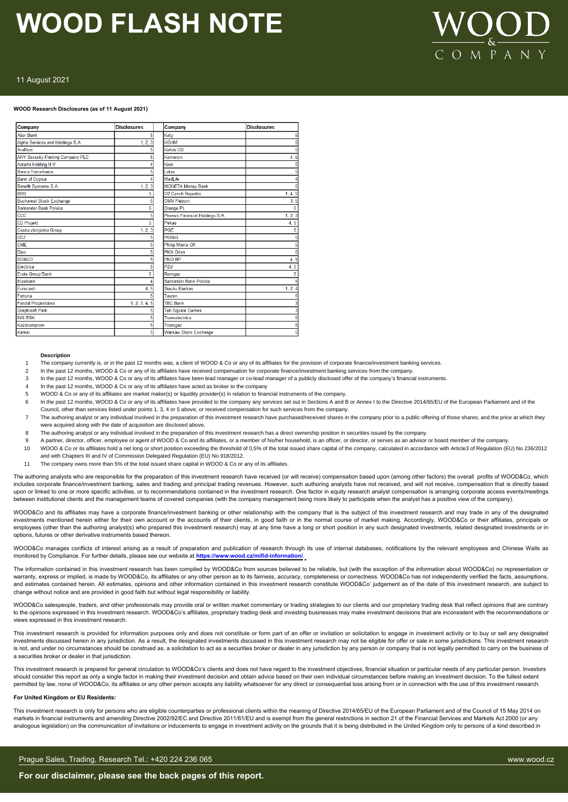

#### 11 August 2021

#### **WOOD Research Disclosures (as of 11 August 2021)**

| Company                           | <b>Disclosures</b> | Company                         | <b>Disclosures</b> |
|-----------------------------------|--------------------|---------------------------------|--------------------|
| <b>Alior Bank</b>                 | 5                  | Kety                            |                    |
| Alpha Services and Holdings S.A.  | 1, 2, 3            | <b>KGHM</b>                     |                    |
| AmRest                            |                    | Kofola CS                       |                    |
| ANY Security Printing Company PLC |                    | Komercni                        | 4.5                |
| Astarta Holding N.V.              |                    | Kruk                            |                    |
| Banca Transilvania                |                    | Lotos                           |                    |
| <b>Bank of Cyprus</b>             |                    | Medl.ife                        |                    |
| Benefit Systems S.A.              | 1, 2, 3            | <b>MONETA Money Bank</b>        |                    |
| <b>BRD</b>                        | 5                  | <b>02 Czech Republic</b>        | 1, 4, 5            |
| <b>Bucharest Stock Exchange</b>   |                    | <b>OMV Petrom</b>               | 3.5                |
| Santander Bank Polska             | 5                  | Orange PL                       |                    |
| ccc                               |                    | Piraeus Financial Holdings S.A. | 1, 2, 3            |
| <b>CD Projekt</b>                 | 5                  | Pekao                           | 4.5                |
| Ceska zbrojovka Group             | 1, 2, 3            | PGF                             |                    |
| <b>CEZ</b>                        |                    | <b>PGNiG</b>                    |                    |
| <b>CME</b>                        |                    | <b>Philip Morris CR</b>         |                    |
| Dino                              |                    | <b>PKN Orlen</b>                |                    |
| DO&CO                             |                    | PKO BP                          | 4, 5               |
| Electrica                         |                    | PZU                             | 4, 5               |
| <b>Erste Group Bank</b>           | 5                  | Romgaz                          |                    |
| Eurobank                          |                    | Santander Bank Polska           |                    |
| Eurocash                          | 4.5                | Siauliu Bankas                  | 1, 2, 4            |
| Fortuna                           |                    | Tauron                          |                    |
| <b>Fondul Proprietatea</b>        | 1, 2, 3, 4, 5      | <b>TBC Bank</b>                 |                    |
| <b>Graphisoft Park</b>            |                    | <b>Ten Square Games</b>         |                    |
| <b>ING BSK</b>                    |                    | Transelectrica                  |                    |
| Kazatomprom                       | 5                  | Transgaz                        |                    |
| Kernel                            | 5                  | <b>Warsaw Stock Exchange</b>    |                    |

#### **Description**

- 1 The company currently is, or in the past 12 months was, a client of WOOD & Co or any of its affiliates for the provision of corporate finance/investment banking services.
- 2 In the past 12 months, WOOD & Co or any of its affiliates have received compensation for corporate finance/investment banking services from the company.
- 3 In the past 12 months, WOOD & Co or any of its affiliates have been lead manager or co-lead manager of a publicly disclosed offer of the company's financial instruments.
- 4 In the past 12 months, WOOD & Co or any of its affiliates have acted as broker to the company
- 5 WOOD & Co or any of its affiliates are market maker(s) or liquidity provider(s) in relation to financial instruments of the company.
- 6 In the past 12 months, WOOD & Co or any of its affiliates have provided to the company any services set out in Sections A and B or Annex I to the Directive 2014/65/EU of the European Parliament and of the
- Council, other than services listed under points 1, 3, 4 or 5 above, or received compensation for such services from the company.
- 7 The authoring analyst or any individual involved in the preparation of this investment research have purchased/received shares in the company prior to a public offering of those shares; and the price at which they were acquired along with the date of acquisition are disclosed above.
- 8 The authoring analyst or any individual involved in the preparation of this investment research has a direct ownership position in securities issued by the company.
- 9 A partner, director, officer, employee or agent of WOOD & Co and its affiliates, or a member of this/her household, is an officer, or director, or serves as an advisor or board member of the company.
- 10 WOOD & Co or its affiliates hold a net long or short position exceeding the threshold of 0,5% of the total issued share capital of the company, calculated in accordance with Article3 of Regulation (EU) No 236/2012 and with Chapters III and IV of Commission Delegated Regulation (EU) No 918/2012.
- 11 The company owns more than 5% of the total issued share capital in WOOD & Co or any of its affiliates.

The authoring analysts who are responsible for the preparation of this investment research have received (or will receive) compensation based upon (among other factors) the overall profits of WOOD&Co, which includes corporate finance/investment banking, sales and trading and principal trading revenues. However, such authoring analysts have not received, and will not receive, compensation that is directly based upon or linked to one or more specific activities, or to recommendations contained in the investment research. One factor in equity research analyst compensation is arranging corporate access events/meetings between institutional clients and the management teams of covered companies (with the company management being more likely to participate when the analyst has a positive view of the company).

WOOD&Co and its affiliates may have a corporate finance/investment banking or other relationship with the company that is the subject of this investment research and may trade in any of the designated investments mentioned herein either for their own account or the accounts of their clients, in good faith or in the normal course of market making. Accordingly, WOOD&Co or their affiliates, principals or employees (other than the authoring analyst(s) who prepared this investment research) may at any time have a long or short position in any such designated investments, related designated investments or in options, futures or other derivative instruments based thereon.

WOOD&Co manages conflicts of interest arising as a result of preparation and publication of research through its use of internal databases, notifications by the relevant employees and Chinese Walls as<br>monitored by Complian monitored by Compliance. For further details, please see our website at **https://w** 

The information contained in this investment research has been compiled by WOOD&Co from sources believed to be reliable, but (with the exception of the information about WOOD&Co) no representation or warranty, express or implied, is made by WOOD&Co, its affiliates or any other person as to its fairness, accuracy, completeness or correctness. WOOD&Co has not independently verified the facts, assumptions, and estimates contained herein. All estimates, opinions and other information contained in this investment research constitute WOOD&Co' judgement as of the date of this investment research, are subject to change without notice and are provided in good faith but without legal responsibility or liability.

WOOD&Co salespeople, traders, and other professionals may provide oral or written market commentary or trading strategies to our clients and our proprietary trading desk that reflect opinions that are contrary to the opinions expressed in this investment research. WOOD&Co's affiliates, proprietary trading desk and investing businesses may make investment decisions that are inconsistent with the recommendations or views expressed in this investment research.

This investment research is provided for information purposes only and does not constitute or form part of an offer or invitation or solicitation to engage in investment activity or to buy or sell any designated investments discussed herein in any jurisdiction. As a result, the designated investments discussed in this investment research may not be eligible for offer or sale in some jurisdictions. This investment research is not, and under no circumstances should be construed as, a solicitation to act as a securities broker or dealer in any jurisdiction by any person or company that is not legally permitted to carry on the business of a securities broker or dealer in that jurisdiction.

This investment research is prepared for general circulation to WOOD&Co's clients and does not have regard to the investment objectives, financial situation or particular needs of any particular person. Investors should consider this report as only a single factor in making their investment decision and obtain advice based on their own individual circumstances before making an investment decision. To the fullest extent permitted by law, none of WOOD&Co, its affiliates or any other person accepts any liability whatsoever for any direct or consequential loss arising from or in connection with the use of this investment research.

#### **For United Kingdom or EU Residents:**

This investment research is only for persons who are eligible counterparties or professional clients within the meaning of Directive 2014/65/EU of the European Parliament and of the Council of 15 May 2014 on markets in financial instruments and amending Directive 2002/92/EC and Directive 2011/61/EU and is exempt from the general restrictions in section 21 of the Financial Services and Markets Act 2000 (or any analogous legislation) on the communication of invitations or inducements to engage in investment activity on the grounds that it is being distributed in the United Kingdom only to persons of a kind described in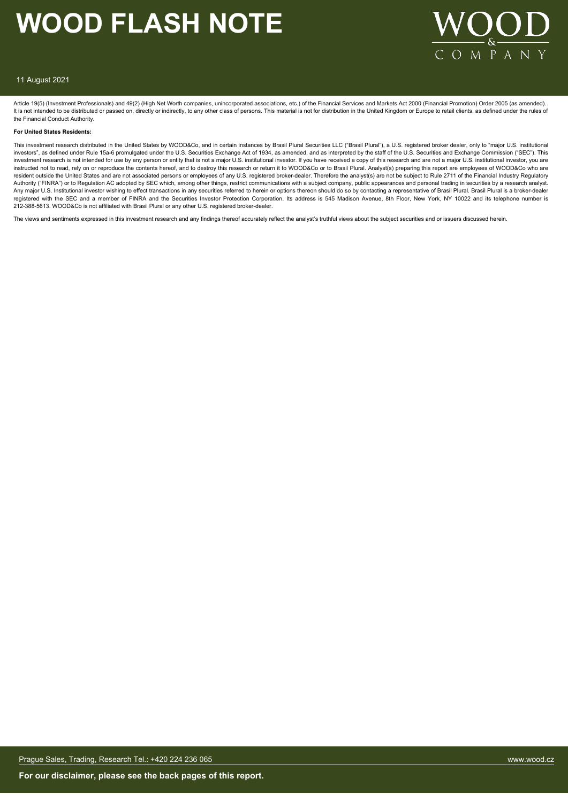

#### 11 August 2021

Article 19(5) (Investment Professionals) and 49(2) (High Net Worth companies, unincorporated associations, etc.) of the Financial Services and Markets Act 2000 (Financial Promotion) Order 2005 (as amended). It is not intended to be distributed or passed on, directly or indirectly, to any other class of persons. This material is not for distribution in the United Kingdom or Europe to retail clients, as defined under the rules the Financial Conduct Authority.

#### **For United States Residents:**

This investment research distributed in the United States by WOOD&Co, and in certain instances by Brasil Plural Securities LLC ("Brasil Plural"), a U.S. registered broker dealer, only to "major U.S. institutional investors", as defined under Rule 15a-6 promulgated under the U.S. Securities Exchange Act of 1934, as amended, and as interpreted by the staff of the U.S. Securities and Exchange Commission ("SEC"). This investment research is not intended for use by any person or entity that is not a major U.S. institutional investor. If you have received a copy of this research and are not a major U.S. institutional investor, you are instructed not to read, rely on or reproduce the contents hereof, and to destroy this research or return it to WOOD&Co or to Brasil Plural. Analyst(s) preparing this report are employees of WOOD&Co who are resident outside the United States and are not associated persons or employees of any U.S. registered broker-dealer. Therefore the analyst(s) are not be subject to Rule 2711 of the Financial Industry Regulatory Authority ("FINRA") or to Regulation AC adopted by SEC which, among other things, restrict communications with a subject company, public appearances and personal trading in securities by a research analyst. Any major U.S. Institutional investor wishing to effect transactions in any securities referred to herein or options thereon should do so by contacting a representative of Brasil Plural. Brasil Plural is a broker-dealer registered with the SEC and a member of FINRA and the Securities Investor Protection Corporation. Its address is 545 Madison Avenue, 8th Floor, New York, NY 10022 and its telephone number is 212-388-5613. WOOD&Co is not affiliated with Brasil Plural or any other U.S. registered broker-dealer.

The views and sentiments expressed in this investment research and any findings thereof accurately reflect the analyst's truthful views about the subject securities and or issuers discussed herein.